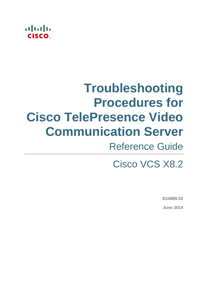# almla

# **Troubleshooting Procedures for Cisco TelePresence Video Communication Server**

# Reference Guide

Cisco VCS X8.2

**D14889.03 June 2014**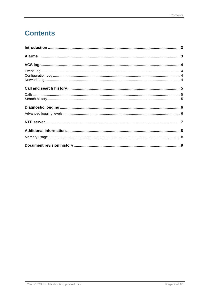# **Contents**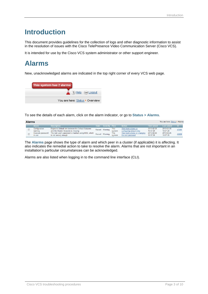### <span id="page-2-0"></span>**Introduction**

This document provides guidelines for the collection of logs and other diagnostic information to assist in the resolution of issues with the Cisco TelePresence Video Communication Server (Cisco VCS).

<span id="page-2-1"></span>It is intended for use by the Cisco VCS system administrator or other support engineer.

## **Alarms**

New, unacknowledged alarms are indicated in the top right corner of every VCS web page.

| This system has 2 alarms        |
|---------------------------------|
| 4 (?) Help 0- Loqout            |
| You are here: Status ▶ Overview |

To see the details of each alarm, click on the alarm indicator, or go to **Status > Alarms**.

| <b>Alarms</b><br>You are here: Status • Alarms |  |                             |                                                                                         |  |                            |                       |                                                    |                        |                        |       |
|------------------------------------------------|--|-----------------------------|-----------------------------------------------------------------------------------------|--|----------------------------|-----------------------|----------------------------------------------------|------------------------|------------------------|-------|
|                                                |  | <b>Alarm</b>                | <b>Description</b>                                                                      |  | <b>State Severity Peer</b> |                       | <b>Action</b>                                      | <b>First raised</b>    | Last raised            | ID    |
|                                                |  | Configuration<br>warning    | Expected default link between the Default Subzone<br>and the Cluster Subzone is missing |  | Raised Warning             | <b>This</b><br>system | View instructions on<br>configuring default links  | 2013-02-26<br>10:57:29 | 2013-02-26<br>10:57:29 | 45006 |
|                                                |  | Insecure password<br>in use | The root user's password is hashed using MD5, which<br>is not secure enough             |  | Raised Warning             | <b>This</b><br>system | View instructions on changing<br>the root password | 2013-02-26<br>10:57:26 | 2013-02-26<br>10:57:26 | 40028 |

The **Alarms** page shows the type of alarm and which peer in a cluster (if applicable) it is affecting. It also indicates the remedial action to take to resolve the alarm. Alarms that are not important in an installation's particular circumstances can be acknowledged.

Alarms are also listed when logging in to the command line interface (CLI).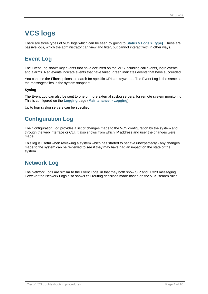## <span id="page-3-0"></span>**VCS logs**

There are three types of VCS logs which can be seen by going to **Status > Logs > [type]**. These are passive logs, which the administrator can view and filter, but cannot interact with in other ways.

#### <span id="page-3-1"></span>**Event Log**

The Event Log shows key events that have occurred on the VCS including call events, login events and alarms. Red events indicate events that have failed; green indicates events that have succeeded.

You can use the **Filter** options to search for specific URIs or keywords. The Event Log is the same as the messages files in the system snapshot.

#### **Syslog**

The Event Log can also be sent to one or more external syslog servers, for remote system monitoring. This is configured on the **Logging** page (**Maintenance > Logging**).

<span id="page-3-2"></span>Up to four syslog servers can be specified.

#### **Configuration Log**

The Configuration Log provides a list of changes made to the VCS configuration by the system and through the web interface or CLI. It also shows from which IP address and user the changes were made.

This log is useful when reviewing a system which has started to behave unexpectedly - any changes made to the system can be reviewed to see if they may have had an impact on the state of the system.

#### <span id="page-3-3"></span>**Network Log**

The Network Logs are similar to the Event Logs, in that they both show SIP and H.323 messaging. However the Network Logs also shows call routing decisions made based on the VCS search rules.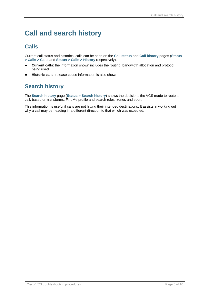# <span id="page-4-0"></span>**Call and search history**

#### <span id="page-4-1"></span>**Calls**

Current call status and historical calls can be seen on the **Call status** and **Call history** pages (**Status > Calls > Calls** and **Status > Calls > History** respectively).

- **Current calls**: the information shown includes the routing, bandwidth allocation and protocol being used.
- <span id="page-4-2"></span>**Historic calls**: release cause information is also shown.

#### **Search history**

The **Search history** page (**Status > Search history**) shows the decisions the VCS made to route a call, based on transforms, FindMe profile and search rules, zones and soon.

This information is useful if calls are not hitting their intended destinations. It assists in working out why a call may be heading in a different direction to that which was expected.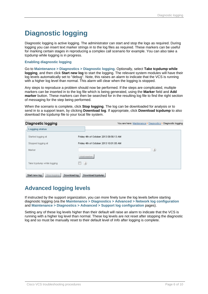## <span id="page-5-0"></span>**Diagnostic logging**

Diagnostic logging is active logging. The administrator can start and stop the logs as required. During logging you can insert text marker strings in to the log files as required. These markers can be useful for marking certain stages in reproducing a complex call scenario for example. You can also take a tcpdump while logging is in progress.

#### **Enabling diagnostic logging**

Go to **Maintenance > Diagnostics > Diagnostic logging**. Optionally, select **Take tcpdump while logging**, and then click **Start new log** to start the logging. The relevant system modules will have their log levels automatically set to "debug". Note, this raises an alarm to indicate that the VCS is running with a higher log level than normal. This alarm will clear when the logging is stopped.

Any steps to reproduce a problem should now be performed. If the steps are complicated, multiple markers can be inserted in to the log file which is being generated, using the **Marker** field and **Add marker** button. These markers can then be searched for in the resulting log file to find the right section of messaging for the step being performed.

When the scenario is complete, click **Stop logging**. The log can be downloaded for analysis or to send in to a support team, by clicking **Download log**. If appropriate, click **Download tcpdump** to also download the tcpdump file to your local file system.

#### Disanostic Iogaina

| Diagnostic logging                            | You are here: Maintenance ▶ Diagnostics ▶ Diagnostic logging |
|-----------------------------------------------|--------------------------------------------------------------|
| <b>Logging status</b>                         |                                                              |
| Started logging at                            | Friday 4th of October 2013 09:56:13 AM                       |
| Stopped logging at                            | Friday 4th of October 2013 10:01:05 AM                       |
| Marker                                        | (i)                                                          |
|                                               | Add marker                                                   |
| Take topdump while logging                    | (i)<br>I I                                                   |
| Download log<br>Start new log<br>Stop logging | Download topdump                                             |

#### <span id="page-5-1"></span>**Advanced logging levels**

If instructed by the support organization, you can more finely tune the log levels before starting diagnostic logging (via the **Maintenance > Diagnostics > Advanced > Network log configuration** and **Maintenance > Diagnostics > Advanced > Support log configuration** pages).

Setting any of these log levels higher than their default will raise an alarm to indicate that the VCS is running with a higher log level than normal. These log levels are not reset after stopping the diagnostic log and so must be manually reset to their default level of *Info* after logging is complete.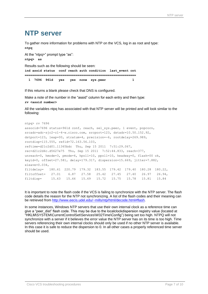### <span id="page-6-0"></span>**NTP server**

To gather more information for problems with NTP on the VCS, log in as root and type: **ntpq**

At the "ntpq>" prompt type "as": **ntpq> as** Results such as the following should be seen: **ind assid status conf reach auth condition last\_event cnt =========================================================== 1 7696 961d yes yes none sys.peer 1**

If this returns a blank please check that DNS is configured.

Make a note of the number in the "assid" column for each entry and then type: **rv <assid number>**

All the variables ntpq has associated with that NTP server will be printed and will look similar to the following:

```
ntpq> rv 7696
associd=7696 status=961d conf, reach, sel sys.peer, 1 event, popcorn,
srcadr=adc-sjc2-c1-4-w.cisco.com, srcport=123, dstadr=10.50.152.92,
dstport=123, leap=00, stratum=4, precision=-6, rootdelay=269.989,
rootdisp=115.555, refid=72.163.56.103,
reftime=d21c2d01.11365bdc Thu, Sep 15 2011 7:51:29.067,
rec=d21c2d4c.d5627e75 Thu, Sep 15 2011 7:52:44.833, reach=377,
unreach=0, hmode=3, pmode=4, hpoll=10, ppoll=10, headway=0, flash=00 ok,
keyid=0, offset=27.581, delay=179.317, dispersion=15.669, jitter=7.882,
xleave=0.034,
filtdelay= 180.61 220.79 179.32 183.55 179.42 179.40 180.28 180.22,
filtoffset= 27.01 6.87 27.58 25.42 27.45 27.40 26.97 26.94,
filtdisp= 15.63 15.66 15.69 15.72 15.75 15.78 15.81 15.84
```
It is important to note the flash code if the VCS is failing to synchronize with the NTP server. The flash code details the reason for the NTP not synchronizing. A list of the flash codes and their meaning can be retrieved from [http://www.eecis.udel.edu/~mills/ntp/html/decode.html#flash.](http://www.eecis.udel.edu/~mills/ntp/html/decode.html#flash)

In some instances, Windows NTP servers that use their own internal clock as a reference time can give a "peer\_dist" flash code. This may be due to the localclockdispersion registry value (located at "HKLM\SYSTEM\CurrentControlSet\Services\W32Time\Config") being set too high. NTPQ will not synchronize with a server if it believes the error value the NTP server has on its time is too high. Time servers referencing their own internal clocks should only be used if no other NTP server is available. In this case it is safe to reduce the dispersion to 0. In all other cases a properly referenced time server should be used.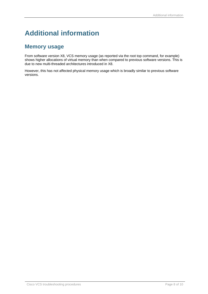# <span id="page-7-0"></span>**Additional information**

#### <span id="page-7-1"></span>**Memory usage**

From software version X8, VCS memory usage (as reported via the root top command, for example) shows higher allocations of virtual memory than when compared to previous software versions. This is due to new multi-threaded architectures introduced in X8.

However, this has not affected physical memory usage which is broadly similar to previous software versions.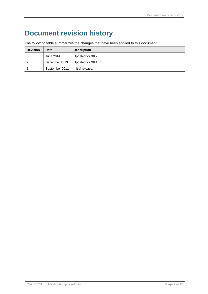# <span id="page-8-0"></span>**Document revision history**

|  |  | The following table summarizes the changes that have been applied to this document. |
|--|--|-------------------------------------------------------------------------------------|
|--|--|-------------------------------------------------------------------------------------|

| <b>Revision</b> | Date           | <b>Description</b> |
|-----------------|----------------|--------------------|
|                 | June 2014      | Updated for X8.2.  |
|                 | December 2013  | Updated for X8.1.  |
|                 | September 2011 | Initial release.   |